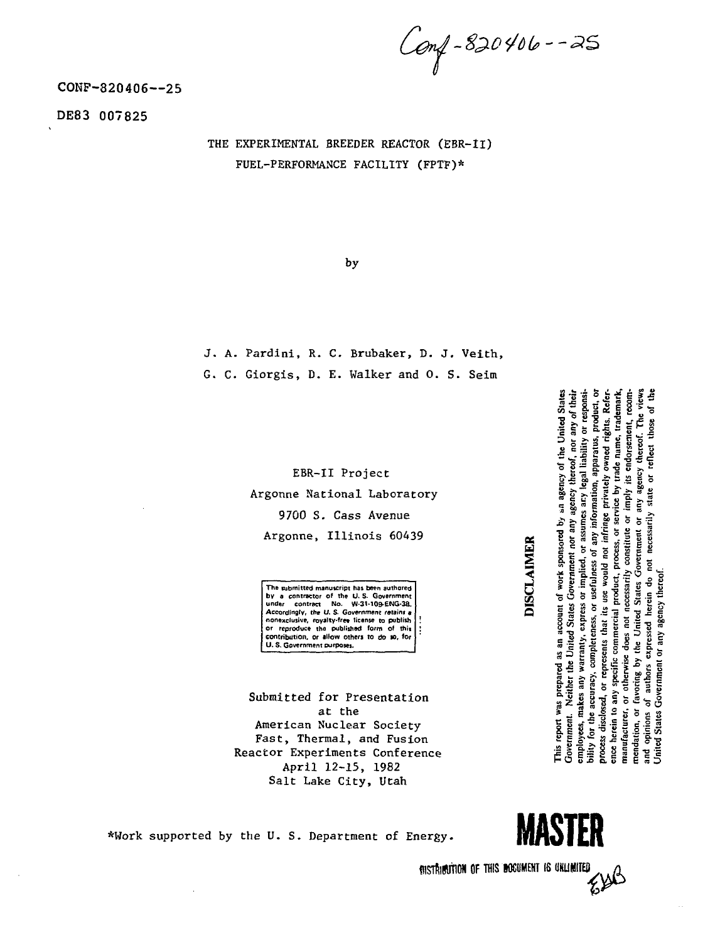Conf-820406--25

COKP-820406--25

DE83 007825

THE EXPERIMENTAL BREEDER REACTOR (EBR-II) FUEL-PERFORMANCE FACILITY (FPTF)\*

by

J. A. Pardini, R. C. Brubaker, D. J. Veith, G. C. Giorgis, D. E. Walker and 0. S. Seim

> EBR-II Project Argonne National Laboratory 9700 S. Cass Avenue Argonne, Illinois 60439

**The submitted manuscript has been authored by a contractor of the U.S. Government**<br>
under contract No. W-31-109-ENG-3B.<br>
Accordingly, the U.S. Government retains a<br>
nonexclusive, royalty-fre<del>s</del> license to publish | or reproduce the published form of this **contribution, or allow others to do so, for ' U. S. Government purposes.**

Submitted for Presentation at the American Nuclear Society Fast, Thermal, and Fusion Reactor Experiments Conference April 12-15, 1982 Salt Lake City, Utah

\*Work supported by the U.S. Department of Energy. **1999 MASTER** 

BISTRIBUTION OF THIS INCOMENT IS UNLIMITED EISB



bility for the accuracy, completeness, or usefulness of any information, apparatus, product, or the accuracy, completeness, or usefulness of any information, apparatus, product, or This report was prepared as an account of work sponsored by an agency of the United States States Government nor any agency thereof, nor any of their employees, makes any warranty, express or implied, or assumes ary legal liability or responsirepresents that its use would not infringe privately owned rights. Reference herein to any specific commercial product, process, or service by trade name, trademark, manufacturer, or otherwise does not necessarily constitute or imply its endorsement, recomor any agency thereof. The views of authors expressed herein do not necessarily state or reflect those of the mendation, or favoring by the United States Government Jnited States Government or any agency thereof. Government. Neither the United process disclosed, or and opinions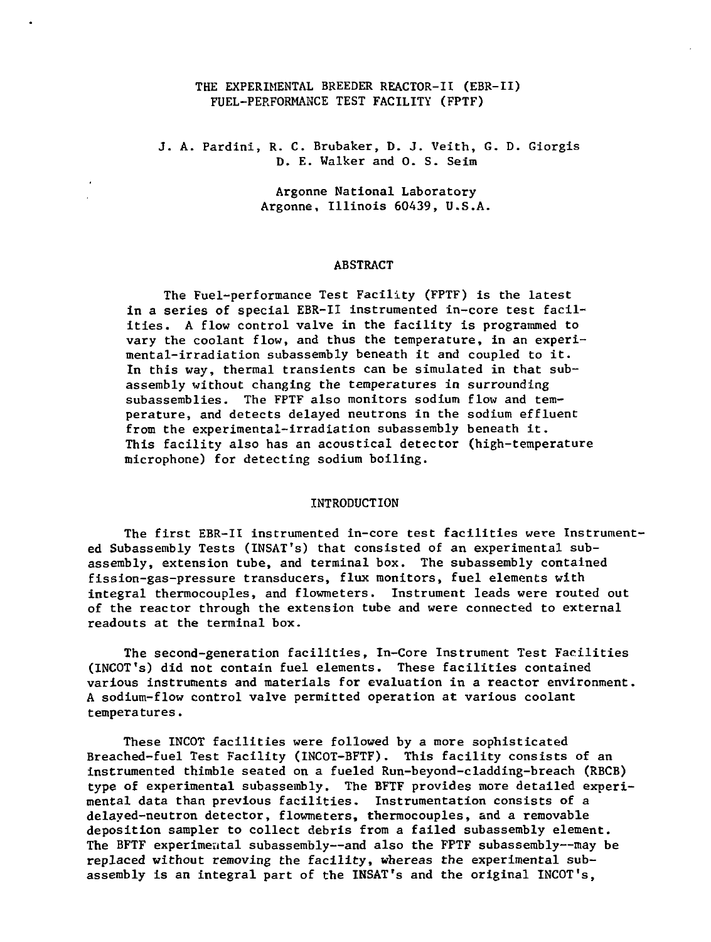# THE EXPERIMENTAL BREEDER REACTOR-II (EBR-II) FUEL-PERFORMANCE TEST FACILITY (FPTF)

# J. A. Pardini, R. C. Brubaker, D. J. Veith, G. D. Giorgis D. E. Walker and 0. S. Seim

Argonne National Laboratory Argonne, Illinois 60439, U.S.A.

### **ABSTRACT**

The Fuel-performance Test Facility (FPTF) is the latest in a series of special EBR-II instrumented in-core test facilities. A flow control valve in the facility is programmed to vary the coolant flow, and thus the temperature, in an experimental-irradiation subassembly beneath it and coupled to it. In this way, thermal transients can be simulated in that subassembly without changing the temperatures in surrounding subassemblies. The FPTF also monitors sodium flow and temperature, and detects delayed neutrons in the sodium effluent from the experimental-irradiation subassembly beneath it. This facility also has an acoustical detector (high-temperature microphone) for detecting sodium boiling.

### INTRODUCTION

The first EBR-II instrumented in-core test facilities were Instrumented Subassembly Tests (INSAT's) that consisted of an experimental subassembly, extension tube, and terminal box. The subassembly contained fission-gas-pressure transducers, flux monitors, fuel elements with integral thermocouples, and flowmeters. Instrument leads were routed out of the reactor through the extension tube and were connected to external readouts at the terminal box.

The second-generation facilities, In-Core Instrument Test Facilities (INCOT's) did not contain fuel elements. These facilities contained various instruments and materials for evaluation in a reactor environment. A sodium-flow control valve permitted operation at various coolant temperatures.

These INCOT facilities were followed by a more sophisticated Breached-fuel Test Facility (INCOT-BFTF). This facility consists of an instrumented thimble seated on a fueled Run-beyond-cladding-breach (RBCB) type of experimental subassembly. The BFTF provides more detailed experimental data than previous facilities. Instrumentation consists of a delayed-neutron detector, flowmeters, thermocouples, and a removable deposition sampler to collect debris from a failed subassembly element. The BFTF experimental subassembly—and also the FPTF subassembly—may be replaced without removing the facility, whereas the experimental subassembly is an integral part of the INSAT's and the original INCOT's,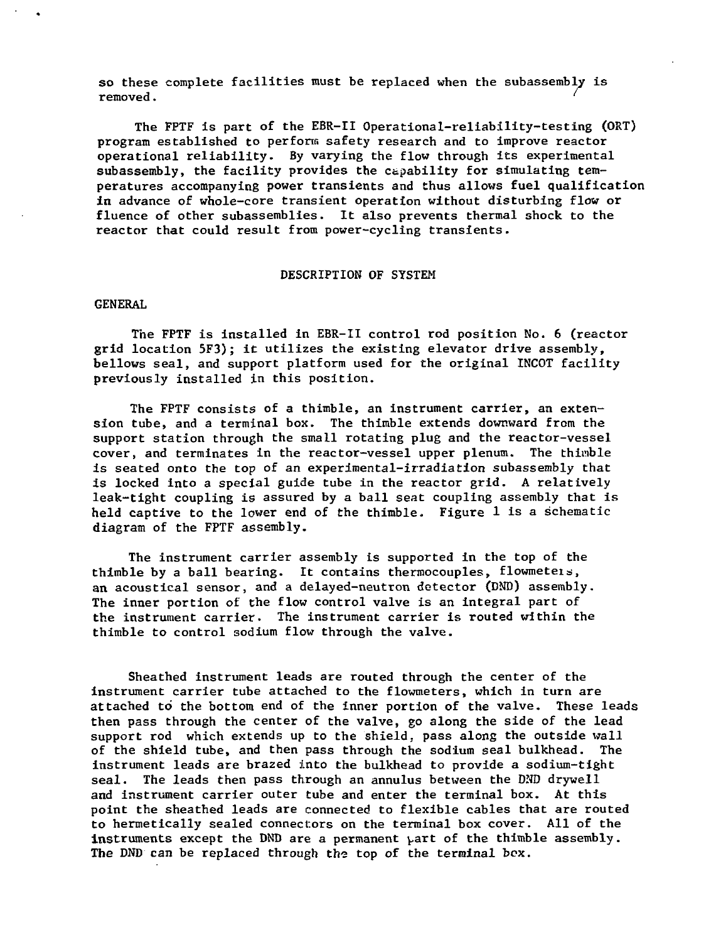so these complete facilities must be replaced when the subassembly is removed. '

The FPTF is part of the EBR-II Operational-reliability-testing (ORT) program established to perform safety research and to improve reactor operational reliability. By varying the flow through its experimental subassembly, the facility provides the capability for simulating temperatures accompanying power transients and thus allows fuel qualification in advance of whole-core transient operation without disturbing flow or fluence of other subassemblies. It also prevents thermal shock to the reactor that could result from power-cycling transients.

### DESCRIPTION OF SYSTEM

### **GENERAL**

The FPTF is installed in EBR-II control rod position No. 6 (reactor grid location 5F3); it utilizes the existing elevator drive assembly, bellows seal, and support platform used for the original INCOT facility previously installed in this position.

The FPTF consists of a thimble, an instrument carrier, an extension tube, and a terminal box. The thimble extends downward from the support station through the small rotating plug and the reactor-vessel cover, and terminates in the reactor-vessel upper plenum. The thimble is seated onto the top of an experimental-irradiation subassembly that is locked into a special guide tube in the reactor grid. A relatively leak-tight coupling is assured by a ball seat coupling assembly that is held captive to the lower end of the thimble. Figure 1 is a schematic diagram of the FPTF assembly.

The instrument carrier assembly is supported in the top of the thimble by a ball bearing. It contains thermocouples, flowmeteis, an acoustical sensor, and a delayed-neutron detector (DND) assembly. The inner portion of the flow control valve is an integral part of the instrument carrier. The instrument carrier is routed within the thimble to control sodium flow through the valve.

Sheathed instrument leads are routed through the center of the instrument carrier tube attached to the flowmeters, which in turn are attached to the bottom end of the inner portion of the valve. These leads then pass through the center of the valve, go along the side of the lead support rod which extends up to the shield, pass along the outside wall of the shield tube, and then pass through the sodium seal bulkhead. The instrument leads are brazed into the bulkhead to provide a sodium-tight seal. The leads then pass through an annulus between the DND drywell and instrument carrier outer tube and enter the terminal box. At this point the sheathed leads are connected to flexible cables that are routed to hermetically sealed connectors on the terminal box cover. All of the instruments except the DND are a permanent part of the thimble assembly. The DND can be replaced through the top of the terminal box.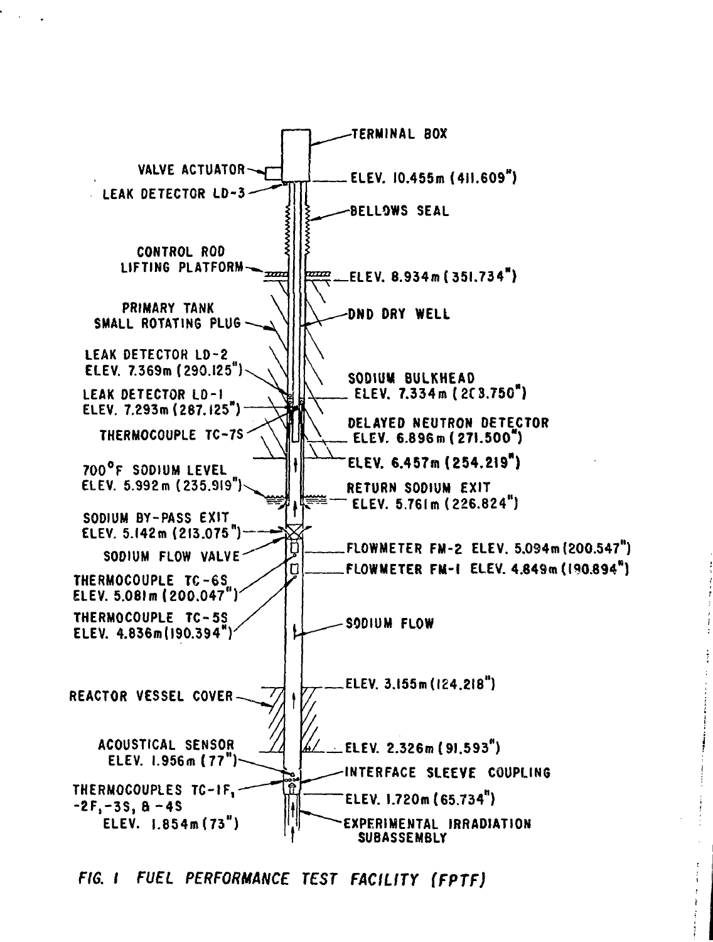

**FIG. I FUEL PERFORMANCE TEST FACILITY (FPTF)**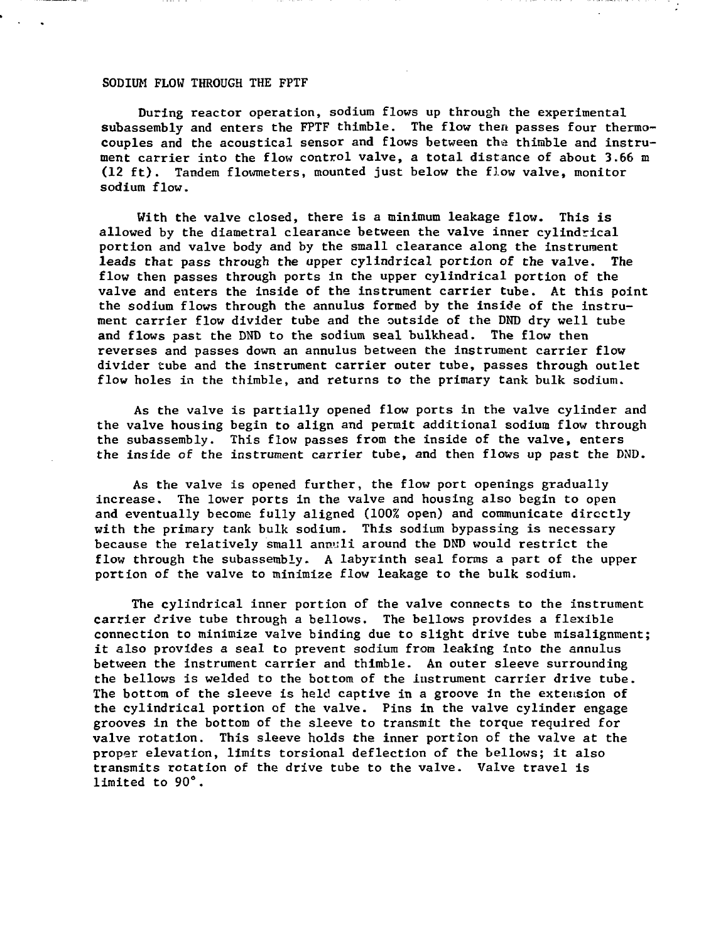### SODIUM FLOW THROUGH THE FPTF

During reactor operation, sodium flows up through the experimental subassembly and enters the FPTF thimble. The flow then passes four thermocouples and the acoustical sensor and flows between the thimble and instrument carrier into the flow control valve, a total distance of about 3.66 m (12 ft). Tandem flowmeters, mounted just below the flow valve, monitor sodium flow.

With the valve closed, there is a minimum leakage flow. This is allowed by the diametral clearance between the valve inner cvlindrical portion and valve body and by the small clearance along the instrument leads that pass through the upper cylindrical portion of the valve. The flow then passes through ports in the upper cylindrical portion of the valve and enters the inside of the instrument carrier tube. At this point the sodium flows through the annulus formed by the inside of the instrument carrier flow divider tube and the outside of the DND dry well tube and flows past the DND to the sodium seal bulkhead. The flow then reverses and passes down an annulus between the instrument carrier flow divider tube and the instrument carrier outer tube, passes through outlet flow holes in the thimble, and returns to the primary tank bulk sodium.

As the valve is partially opened flow ports in the valve cylinder and the valve housing begin to align and permit additional sodium flow through the subassembly. This flow passes from the inside of the valve, enters the inside of the instrument carrier tube, and then flows up past the DND.

As the valve is opened further, the flow port openings gradually increase. The lower ports in the valve and housing also begin to open and eventually become fully aligned (100% open) and communicate directly with the primary tank bulk sodium. This sodium bypassing is necessary because the relatively small annuil around the DND would restrict the flow through the subassembly. A labyrinth seal forms a part of the upper portion of the valve to minimize flow leakage to the bulk sodium.

The cylindrical inner portion of the valve connects to the instrument carrier drive tube through a bellows. The bellows provides a flexible connection to minimize valve binding due to slight drive tube misalignment; it also provides a seal to prevent sodium from leaking into the annulus between the instrument carrier and thimble. An outer sleeve surrounding the bellows is welded to the bottom of the instrument carrier drive tube. The bottom of the sleeve is held captive in a groove in the extension of the cylindrical portion of the valve. Pins in the valve cylinder engage grooves in the bottom of the sleeve to transmit the torque required for valve rotation. This sleeve holds the inner portion of the valve at the proper elevation, limits torsional deflection of the bellows; it also transmits rotation of the drive tube to the valve. Valve travel is limited to 90°.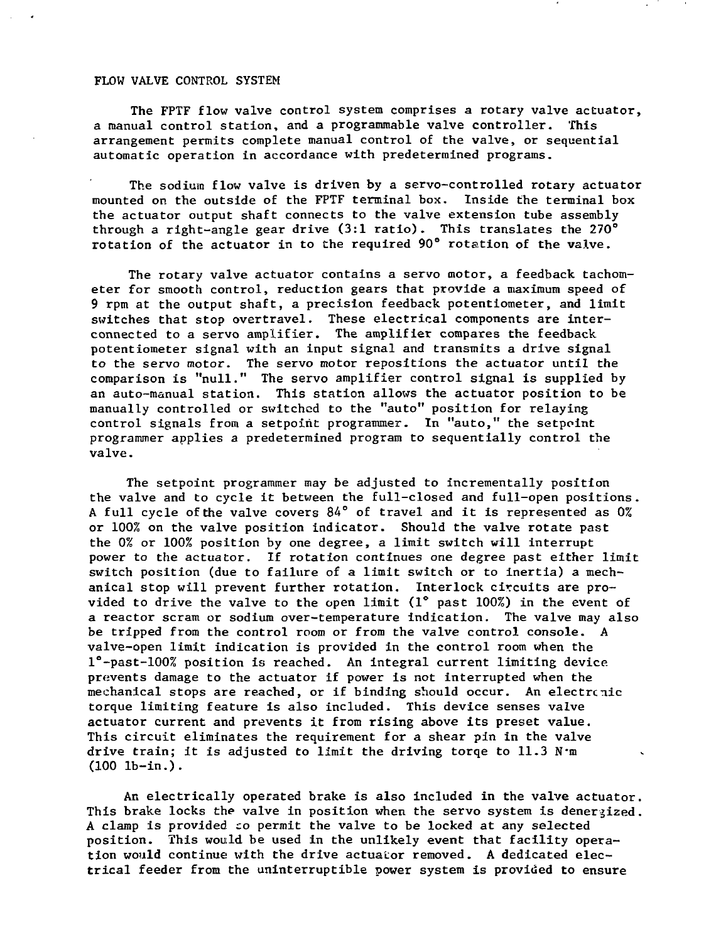## FLOW VALVE CONTROL SYSTEM

The FPTF flow valve control system comprises a rotary valve actuator, a manual control station, and a programmable valve controller. This arrangement permits complete manual control of the valve, or sequential automatic operation in accordance with predetermined programs.

The sodium flow valve is driven by a servo-controlled rotary actuator mounted on the outside of the FPTF terminal box. Inside the terminal box the actuator output shaft connects to the valve extension tube assembly through a right-angle gear drive  $(3:1 \text{ ratio})$ . This translates the 270 $^{\circ}$ rotation of the actuator in to the required 90° rotation of the valve.

The rotary valve actuator contains a servo motor, a feedback tachometer for smooth control, reduction gears that provide a maximum speed of 9 rpm at the output shaft, a precision feedback potentiometer, and limit switches that stop overtravel. These electrical components are interconnected to a servo amplifier. The amplifier compares the feedback potentiometer signal with an input signal and transmits a drive signal to the servo motor. The servo motor repositions the actuator until the comparison is "null." The servo amplifier control signal is supplied by an auto-manual station. This station allows the actuator position to be manually controlled or switched to the "auto" position for relaying control signals from a setpoint programmer. In "auto," the setpoint programmer applies a predetermined program to sequentially control the valve.

The setpoint programmer may be adjusted to incrementally position the valve and to cycle it between the full-closed and full-open positions. A full cycle of the valve covers 84° of travel and it is represented as 0% or 100% on the valve position indicator. Should the valve rotate past the 0% or 100% position by one degree, a limit switch will interrupt power to the actuator. If rotation continues one degree past either limit switch position (due to failure of a limit switch or to inertia) a mechanical stop will prevent further rotation. Interlock circuits are provided to drive the valve to the open limit (1° past 100%) in the event of a reactor scram or sodium over-temperature indication. The valve may also be tripped from the control room or from the valve control console. A valve-open limit indication is provided in the control room when the l°-past-100% position is reached. An integral current limiting device prevents damage to the actuator if power is not interrupted when the mechanical stops are reached, or if binding should occur. An electrcnic torque limiting feature is also included. This device senses valve actuator current and prevents it from rising above its preset value. This circuit eliminates the requirement for a shear pin in the valve drive train; it is adjusted to limit the driving torqe to  $11.3$  N'm (100 lb-in.).

An electrically operated brake is also included in the valve actuator. This brake locks the valve in position when the servo system is denergized. A clamp is provided co permit the valve to be locked at any selected position. This would be used in the unlikely event that facility operation would continue with the drive actuator removed. A dedicated electrical feeder from the uninterruptible power system is provided to ensure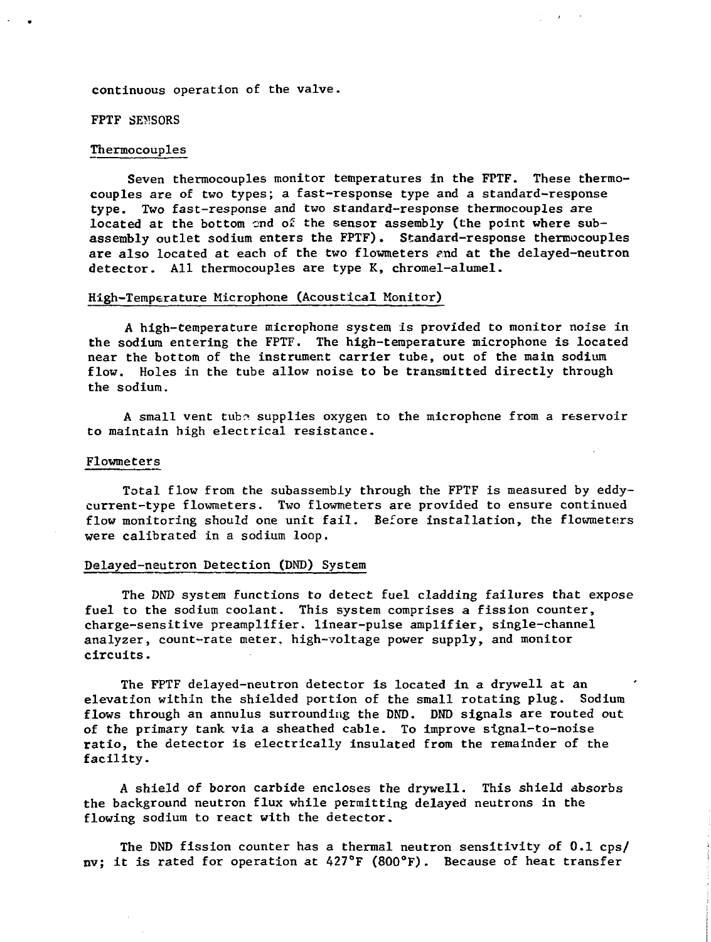continuous operation of the valve.

FPTF SEMSORS

## Thermocouples

Seven thermocouples monitor temperatures in the FPTF. These thermocouples are of two types; a fast-response type and a standard-response type. Two fast-response and two standard-response thermocouples are located at the bottom end of the sensor assembly (the point where subassembly outlet sodium enters the FPTF). Standard-response thermocouples are also located at each of the two flowmeters and at the delayed-neutron detector. All thermocouples are type K, chromel-alumel.

### High-Temperature Microphone (Acoustical Monitor)

A high-temperature microphone system is provided to monitor noise in the sodium entering the FPTF. The high-temperature microphone is located near the bottom of the instrument carrier tube, out of the main sodium flow. Holes in the tube allow noise to be transmitted directly through the sodium.

A small vent tube supplies oxygen to the microphone from a reservoir to maintain high electrical resistance.

### Flowmeters

Total flow from the subassembiy through the FPTF is measured by eddycurrent-type flowmeters. Two flowmeters are provided to ensure continued flow monitoring should one unit fail. Before installation, the flowmeters were calibrated in a sodium loop.

### Delayed-neutron Detection (DND) System

The DND system functions to detect fuel cladding failures that expose fuel to the sodium coolant. This system comprises a fission counter, charge-sensitive preamplifier, linear-pulse amplifier, single-channel analyzer, count-rate meter, high-voltage power supply, and monitor circuits.

The FPTF delayed-neutron detector is located in a drywell at an elevation within the shielded portion of the small rotating plug. Sodium flows through an annulus surrounding the DND. DND signals are routed out of the primary tank via a sheathed cable. To improve signal-to-noise ratio, the detector is electrically insulated from the remainder of the facility.

A shield of boron carbide encloses the drywell. This shield absorbs the background neutron flux while permitting delayed neutrons in the flowing sodium to react with the detector.

The DND fission counter has a thermal neutron sensitivity of 0.1 cps/ nv; it is rated for operation at 427°F (800°F). Because of heat transfer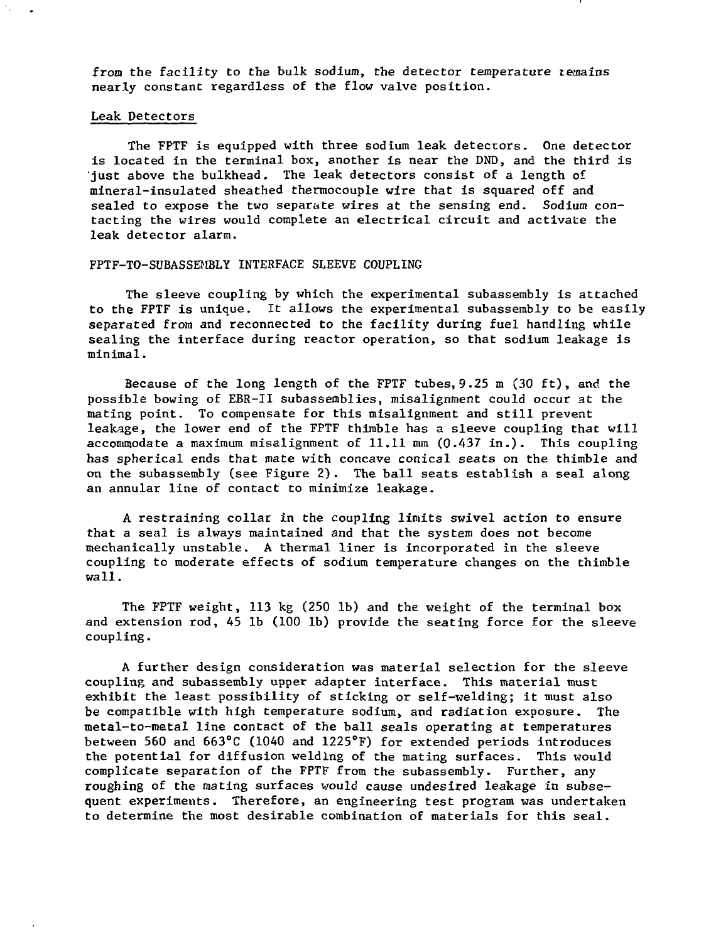from the facility to the bulk sodium, the detector temperature remains nearly constant regardless of the flow valve position.

### Leak, Detectors

The FPTF is equipped with three sodium leak detectors. One detector is located in the terminal box, another is near the DND, and the third is iust above the bulkhead. The leak detectors consist of a length of mineral-insulated sheathed thermocouple wire that is squared off and sealed to expose the two separate wires at the sensing end. Sodium contacting the wires would complete an electrical circuit and activate the leak detector alarm.

#### FPTF-TO-SUBASSEMBLY INTERFACE SLEEVE COUPLING

The sleeve coupling by which the experimental subassembly is attached to the FPTF is unique. It allows the experimental subassembly to be easily separated from and reconnected to the facility during fuel handling while sealing the interface during reactor operation, so that sodium leakage is minimal.

Because of the long length of the FPTF tubes, 9.25 m (30 ft), and the possible bowing of EBR-II subassemblies, misalignment could occur at the mating point. To compensate for this misalignment and still prevent leakage, the lower end of the FPTF thimble has a sleeve coupling that will accommodate a maximum misalignment of  $11.11$  mm  $(0.437$  in.). This coupling has spherical ends that mate with concave conical seats on the thimble and on the subassembly (see Figure 2) . The ball seats establish a seal along an annular line of contact to minimize leakage.

A restraining collar in the coupling limits swivel action to ensure that a seal is always maintained and that the system does not become mechanically unstable. A thermal liner is incorporated in the sleeve coupling to moderate effects of sodium temperature changes on the thimble wall.

The FPTF weight, 113 kg (250 lb) and the weight of the terminal box and extension rod, 45 lb (100 lb) provide the seating force for the sleeve coupling.

A further design consideration was material selection for the sleeve coupling and subassembly upper adapter interface. This material must exhibit the least possibility of sticking or self-welding; it must also be compatible with high temperature sodium, and radiation exposure. The metal-to-metal line contact of the ball seals operating at temperatures between 560 and 663°C (1040 and 1225°F) for extended periods introduces the potential for diffusion welding of the mating surfaces. This would complicate separation of the FPTF from the subassembly. Further, any roughing of the mating surfaces would cause undesired leakage in subsequent experiments. Therefore, an engineering test program was undertaken to determine the most desirable combination of materials for this seal.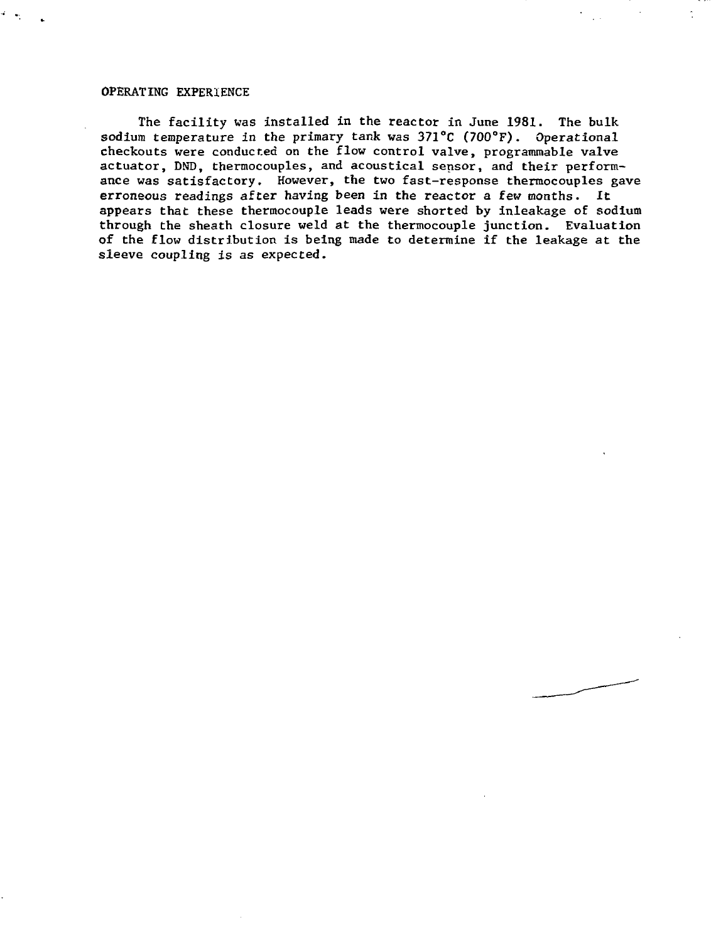### OPERATING EXPERIENCE

The facility was installed in the reactor in June 1981. The bulk sodium temperature in the primary tank was 371°C (700°F). Operational checkouts were conducted on the flow control valve, programmable valve actuator, DND, thermocouples, and acoustical sensor, and their performance was satisfactory. However, the two fast-response thermocouples gave erroneous readings after having been in the reactor a few months. It appears that these thermocouple leads were shorted by inleakage of sodium through the sheath closure weld at the thermocouple junction. Evaluation of the flow distribution is being made to determine if the leakage at the sleeve coupling is as expected.